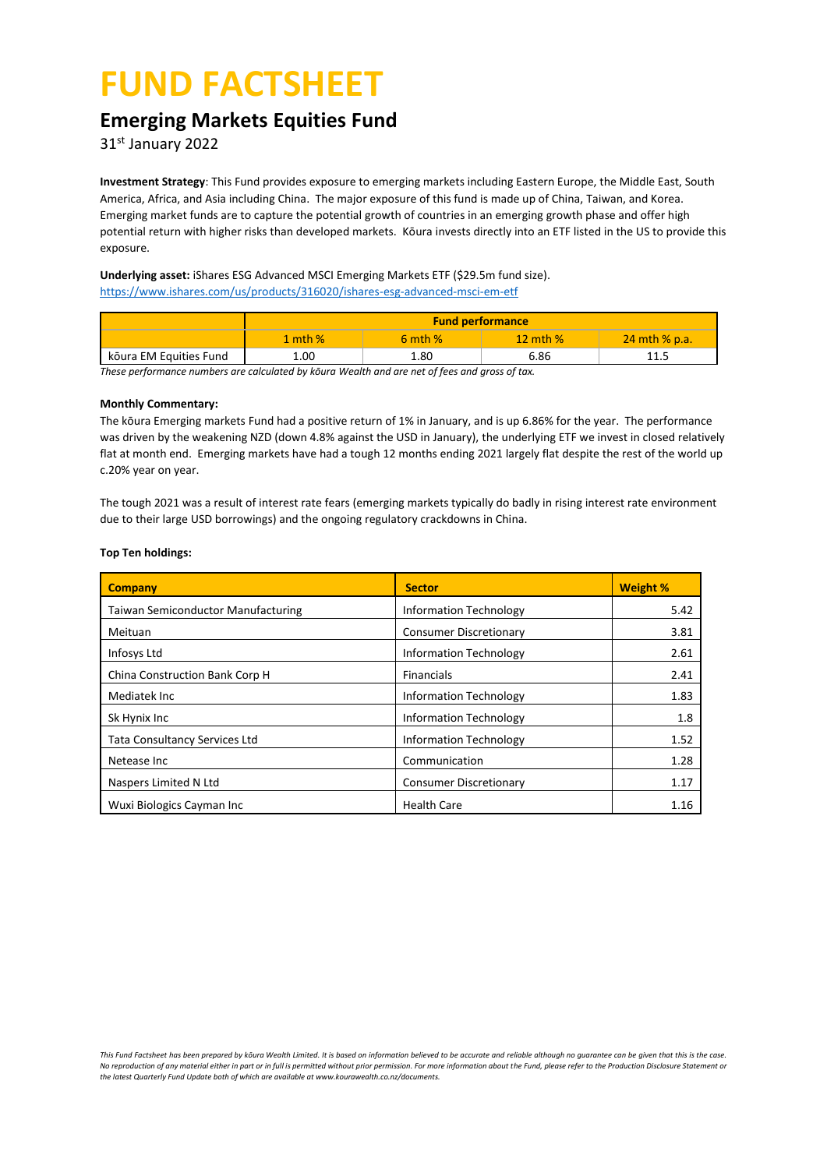# **FUND FACTSHEET**

# **Emerging Markets Equities Fund**

31 st January 2022

**Investment Strategy**: This Fund provides exposure to emerging markets including Eastern Europe, the Middle East, South America, Africa, and Asia including China. The major exposure of this fund is made up of China, Taiwan, and Korea. Emerging market funds are to capture the potential growth of countries in an emerging growth phase and offer high potential return with higher risks than developed markets. Kōura invests directly into an ETF listed in the US to provide this exposure.

### **Underlying asset:** iShares ESG Advanced MSCI Emerging Markets ETF (\$29.5m fund size). <https://www.ishares.com/us/products/316020/ishares-esg-advanced-msci-em-etf>

|                        | <b>Fund performance</b> |             |              |                 |  |  |
|------------------------|-------------------------|-------------|--------------|-----------------|--|--|
|                        | 1 mth $%$               | $6$ mth $%$ | $12$ mth $%$ | $24$ mth % p.a. |  |  |
| kõura EM Equities Fund | 1.00                    | 1.80        | 6.86         | 11.5            |  |  |

*These performance numbers are calculated by kōura Wealth and are net of fees and gross of tax.* 

#### **Monthly Commentary:**

The kōura Emerging markets Fund had a positive return of 1% in January, and is up 6.86% for the year. The performance was driven by the weakening NZD (down 4.8% against the USD in January), the underlying ETF we invest in closed relatively flat at month end. Emerging markets have had a tough 12 months ending 2021 largely flat despite the rest of the world up c.20% year on year.

The tough 2021 was a result of interest rate fears (emerging markets typically do badly in rising interest rate environment due to their large USD borrowings) and the ongoing regulatory crackdowns in China.

### **Top Ten holdings:**

| <b>Company</b>                            | <b>Sector</b>                 | <b>Weight %</b> |
|-------------------------------------------|-------------------------------|-----------------|
| <b>Taiwan Semiconductor Manufacturing</b> | <b>Information Technology</b> | 5.42            |
| Meituan                                   | <b>Consumer Discretionary</b> | 3.81            |
| Infosys Ltd                               | <b>Information Technology</b> | 2.61            |
| China Construction Bank Corp H            | <b>Financials</b>             | 2.41            |
| Mediatek Inc                              | <b>Information Technology</b> | 1.83            |
| Sk Hynix Inc                              | <b>Information Technology</b> | 1.8             |
| <b>Tata Consultancy Services Ltd</b>      | <b>Information Technology</b> | 1.52            |
| Netease Inc                               | Communication                 | 1.28            |
| Naspers Limited N Ltd                     | <b>Consumer Discretionary</b> | 1.17            |
| Wuxi Biologics Cayman Inc                 | <b>Health Care</b>            | 1.16            |